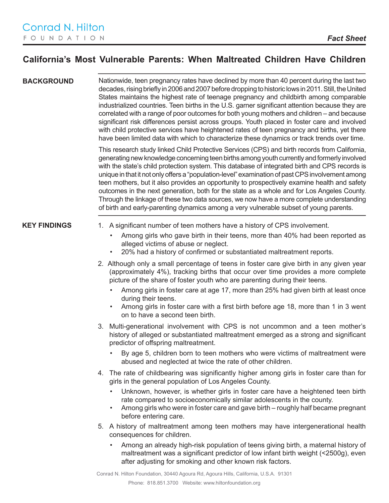## **California's Most Vulnerable Parents: When Maltreated Children Have Children**

**BACKGROUND** Nationwide, teen pregnancy rates have declined by more than 40 percent during the last two decades, rising briefly in 2006 and 2007 before dropping to historic lows in 2011. Still, the United States maintains the highest rate of teenage pregnancy and childbirth among comparable industrialized countries. Teen births in the U.S. garner significant attention because they are correlated with a range of poor outcomes for both young mothers and children – and because significant risk differences persist across groups. Youth placed in foster care and involved with child protective services have heightened rates of teen pregnancy and births, yet there have been limited data with which to characterize these dynamics or track trends over time.

> This research study linked Child Protective Services (CPS) and birth records from California, generating new knowledge concerning teen births among youth currently and formerly involved with the state's child protection system. This database of integrated birth and CPS records is unique in that it not only offers a "population-level" examination of past CPS involvement among teen mothers, but it also provides an opportunity to prospectively examine health and safety outcomes in the next generation, both for the state as a whole and for Los Angeles County. Through the linkage of these two data sources, we now have a more complete understanding of birth and early-parenting dynamics among a very vulnerable subset of young parents.

- **KEY FINDINGS** 1. A significant number of teen mothers have a history of CPS involvement.
	- Among girls who gave birth in their teens, more than 40% had been reported as alleged victims of abuse or neglect.
	- 20% had a history of confirmed or substantiated maltreatment reports.
	- 2. Although only a small percentage of teens in foster care give birth in any given year (approximately 4%), tracking births that occur over time provides a more complete picture of the share of foster youth who are parenting during their teens.
		- Among girls in foster care at age 17, more than 25% had given birth at least once during their teens.
		- Among girls in foster care with a first birth before age 18, more than 1 in 3 went on to have a second teen birth.
	- 3. Multi-generational involvement with CPS is not uncommon and a teen mother's history of alleged or substantiated maltreatment emerged as a strong and significant predictor of offspring maltreatment.
		- By age 5, children born to teen mothers who were victims of maltreatment were abused and neglected at twice the rate of other children.
	- 4. The rate of childbearing was significantly higher among girls in foster care than for girls in the general population of Los Angeles County.
		- Unknown, however, is whether girls in foster care have a heightened teen birth rate compared to socioeconomically similar adolescents in the county.
		- Among girls who were in foster care and gave birth roughly half became pregnant before entering care.
	- 5. A history of maltreatment among teen mothers may have intergenerational health consequences for children.
		- Among an already high-risk population of teens giving birth, a maternal history of maltreatment was a significant predictor of low infant birth weight (<2500g), even after adjusting for smoking and other known risk factors.